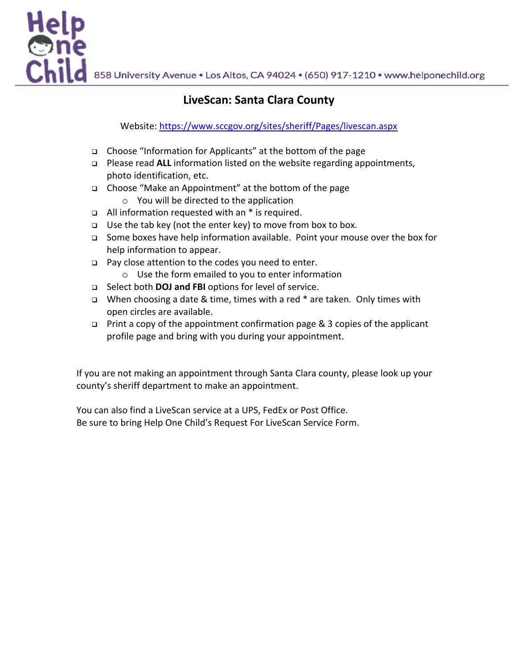858 University Avenue . Los Altos, CA 94024 . (650) 917-1210 . www.helponechild.org

# **LiveScan: Santa Clara County**

Website: https://www.sccgov.org/sites/sheriff/Pages/livescan.aspx

- <sup>q</sup> Choose "Information for Applicants" at the bottom of the page
- <sup>q</sup> Please read **ALL** information listed on the website regarding appointments, photo identification, etc.
- <sup>q</sup> Choose "Make an Appointment" at the bottom of the page
	- o You will be directed to the application
- $\Box$  All information requested with an  $*$  is required.

Help<br>One<br>Child

- <sup>q</sup> Use the tab key (not the enter key) to move from box to box.
- <sup>q</sup> Some boxes have help information available. Point your mouse over the box for help information to appear.
- □ Pay close attention to the codes you need to enter.
	- o Use the form emailed to you to enter information
- <sup>q</sup> Select both **DOJ and FBI** options for level of service.
- <sup>q</sup> When choosing a date & time, times with a red \* are taken. Only times with open circles are available.
- <sup>q</sup> Print a copy of the appointment confirmation page & 3 copies of the applicant profile page and bring with you during your appointment.

If you are not making an appointment through Santa Clara county, please look up your county's sheriff department to make an appointment.

You can also find a LiveScan service at a UPS, FedEx or Post Office. Be sure to bring Help One Child's Request For LiveScan Service Form.